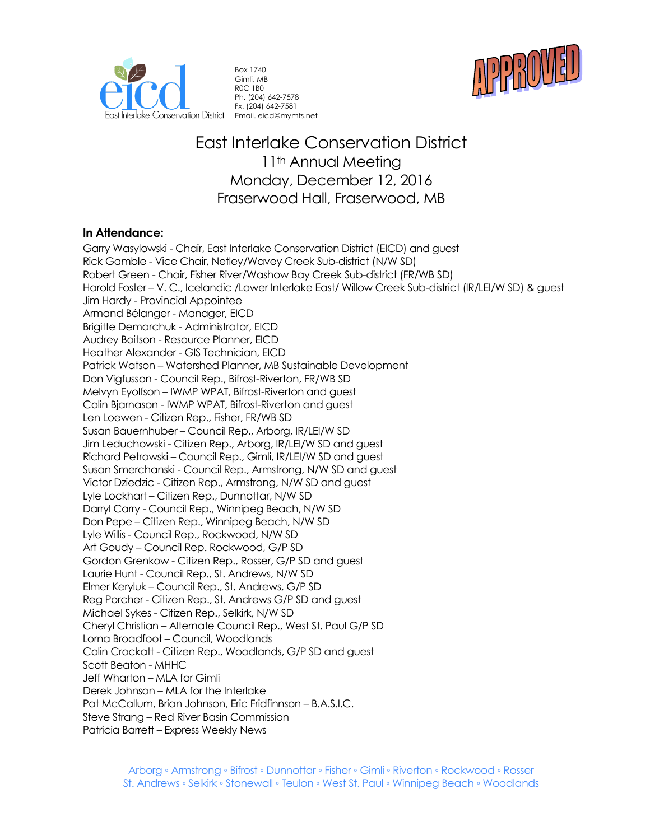



Box 1740 Gimli, MB R0C 1B0 Ph. (204) 642-7578 Fx. (204) 642-7581 Email. eicd@mymts.net

# East Interlake Conservation District 11<sup>th</sup> Annual Meeting Monday, December 12, 2016 Fraserwood Hall, Fraserwood, MB

# **In Attendance:**

Garry Wasylowski - Chair, East Interlake Conservation District (EICD) and guest Rick Gamble - Vice Chair, Netley/Wavey Creek Sub-district (N/W SD) Robert Green - Chair, Fisher River/Washow Bay Creek Sub-district (FR/WB SD) Harold Foster – V. C., Icelandic /Lower Interlake East/ Willow Creek Sub-district (IR/LEI/W SD) & guest Jim Hardy - Provincial Appointee Armand Bélanger - Manager, EICD Brigitte Demarchuk - Administrator, EICD Audrey Boitson - Resource Planner, EICD Heather Alexander - GIS Technician, EICD Patrick Watson – Watershed Planner, MB Sustainable Development Don Vigfusson - Council Rep., Bifrost-Riverton, FR/WB SD Melvyn Eyolfson – IWMP WPAT, Bifrost-Riverton and guest Colin Bjarnason - IWMP WPAT, Bifrost-Riverton and guest Len Loewen - Citizen Rep., Fisher, FR/WB SD Susan Bauernhuber – Council Rep., Arborg, IR/LEI/W SD Jim Leduchowski - Citizen Rep., Arborg, IR/LEI/W SD and guest Richard Petrowski – Council Rep., Gimli, IR/LEI/W SD and guest Susan Smerchanski - Council Rep., Armstrong, N/W SD and guest Victor Dziedzic - Citizen Rep., Armstrong, N/W SD and guest Lyle Lockhart – Citizen Rep., Dunnottar, N/W SD Darryl Carry - Council Rep., Winnipeg Beach, N/W SD Don Pepe – Citizen Rep., Winnipeg Beach, N/W SD Lyle Willis - Council Rep., Rockwood, N/W SD Art Goudy – Council Rep. Rockwood, G/P SD Gordon Grenkow - Citizen Rep., Rosser, G/P SD and guest Laurie Hunt - Council Rep., St. Andrews, N/W SD Elmer Keryluk – Council Rep., St. Andrews, G/P SD Reg Porcher - Citizen Rep., St. Andrews G/P SD and guest Michael Sykes - Citizen Rep., Selkirk, N/W SD Cheryl Christian – Alternate Council Rep., West St. Paul G/P SD Lorna Broadfoot – Council, Woodlands Colin Crockatt - Citizen Rep., Woodlands, G/P SD and guest Scott Beaton - MHHC Jeff Wharton – MLA for Gimli Derek Johnson – MLA for the Interlake Pat McCallum, Brian Johnson, Eric Fridfinnson – B.A.S.I.C. Steve Strang – Red River Basin Commission Patricia Barrett – Express Weekly News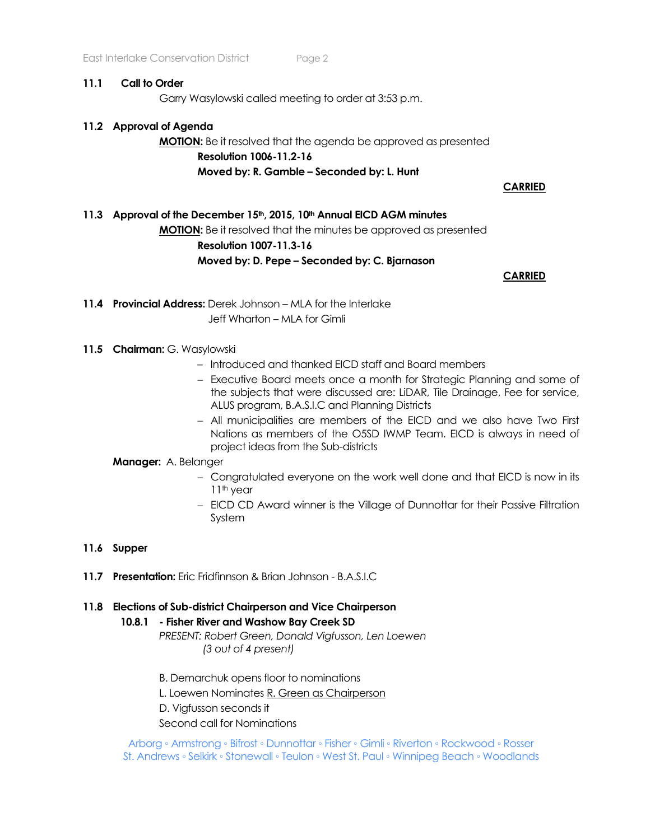### **11.1 Call to Order**

Garry Wasylowski called meeting to order at 3:53 p.m.

# **11.2 Approval of Agenda**

# **MOTION:** Be it resolved that the agenda be approved as presented **Resolution 1006-11.2-16 Moved by: R. Gamble – Seconded by: L. Hunt**

**CARRIED**

**11.3 Approval of the December 15th, 2015, 10th Annual EICD AGM minutes MOTION:** Be it resolved that the minutes be approved as presented **Resolution 1007-11.3-16 Moved by: D. Pepe – Seconded by: C. Bjarnason**

**CARRIED** 

**11.4 Provincial Address:** Derek Johnson – MLA for the Interlake Jeff Wharton – MLA for Gimli

# 11.5 **Chairman: G. Wasylowski**

- Introduced and thanked EICD staff and Board members
- − Executive Board meets once a month for Strategic Planning and some of the subjects that were discussed are: LiDAR, Tile Drainage, Fee for service, ALUS program, B.A.S.I.C and Planning Districts
- − All municipalities are members of the EICD and we also have Two First Nations as members of the O5SD IWMP Team. EICD is always in need of project ideas from the Sub-districts

### **Manager:** A. Belanger

- − Congratulated everyone on the work well done and that EICD is now in its 11<sup>th</sup> year
- − EICD CD Award winner is the Village of Dunnottar for their Passive Filtration System

### **11.6 Supper**

**11.7 Presentation:** Eric Fridfinnson & Brian Johnson - B.A.S.I.C

### **11.8 Elections of Sub-district Chairperson and Vice Chairperson**

### **10.8.1 - Fisher River and Washow Bay Creek SD**

*PRESENT: Robert Green, Donald Vigfusson, Len Loewen (3 out of 4 present)*

- B. Demarchuk opens floor to nominations
- L. Loewen Nominates R. Green as Chairperson
- D. Vigfusson seconds it

Second call for Nominations

Arborg ◦ Armstrong ◦ Bifrost ◦ Dunnottar ◦ Fisher ◦ Gimli ◦ Riverton ◦ Rockwood ◦ Rosser St. Andrews ◦ Selkirk ◦ Stonewall ◦ Teulon ◦ West St. Paul ◦ Winnipeg Beach ◦ Woodlands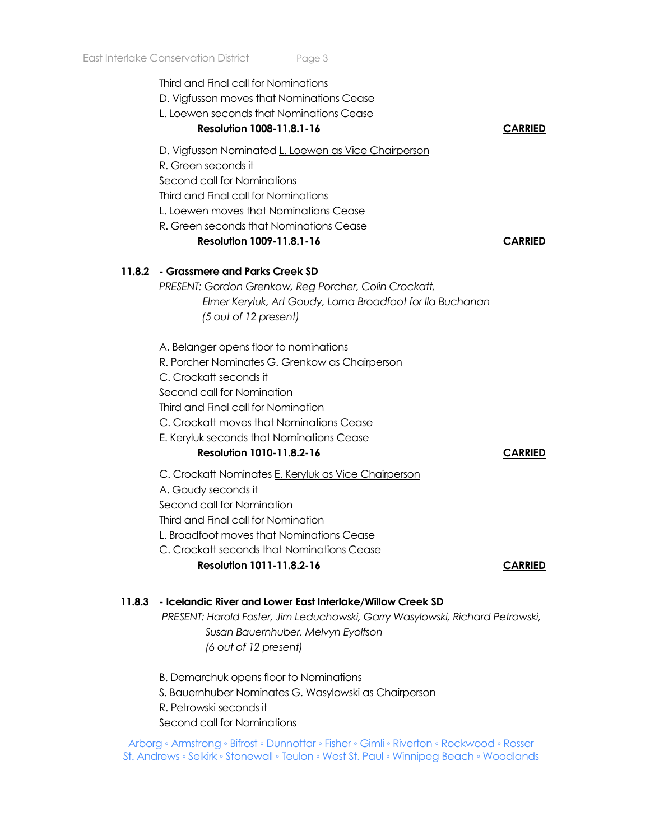Third and Final call for Nominations

D. Vigfusson moves that Nominations Cease

L. Loewen seconds that Nominations Cease

# **Resolution 1008-11.8.1-16 CARRIED**

D. Vigfusson Nominated L. Loewen as Vice Chairperson

R. Green seconds it

Second call for Nominations

Third and Final call for Nominations

L. Loewen moves that Nominations Cease

R. Green seconds that Nominations Cease

# **Resolution 1009-11.8.1-16 CARRIED**

# **11.8.2 - Grassmere and Parks Creek SD**

*PRESENT: Gordon Grenkow, Reg Porcher, Colin Crockatt, Elmer Keryluk, Art Goudy, Lorna Broadfoot for Ila Buchanan (5 out of 12 present)*

A. Belanger opens floor to nominations

R. Porcher Nominates G. Grenkow as Chairperson

C. Crockatt seconds it

Second call for Nomination

Third and Final call for Nomination

C. Crockatt moves that Nominations Cease

E. Keryluk seconds that Nominations Cease

# **Resolution 1010-11.8.2-16 CARRIED**

C. Crockatt Nominates E. Keryluk as Vice Chairperson

A. Goudy seconds it

Second call for Nomination Third and Final call for Nomination

L. Broadfoot moves that Nominations Cease

C. Crockatt seconds that Nominations Cease **Resolution 1011-11.8.2-16** CARRIED

# **11.8.3 - Icelandic River and Lower East Interlake/Willow Creek SD**

*PRESENT: Harold Foster, Jim Leduchowski, Garry Wasylowski, Richard Petrowski, Susan Bauernhuber, Melvyn Eyolfson (6 out of 12 present)*

B. Demarchuk opens floor to Nominations S. Bauernhuber Nominates G. Wasylowski as Chairperson R. Petrowski seconds it

Second call for Nominations

Arborg ◦ Armstrong ◦ Bifrost ◦ Dunnottar ◦ Fisher ◦ Gimli ◦ Riverton ◦ Rockwood ◦ Rosser St. Andrews ◦ Selkirk ◦ Stonewall ◦ Teulon ◦ West St. Paul ◦ Winnipeg Beach ◦ Woodlands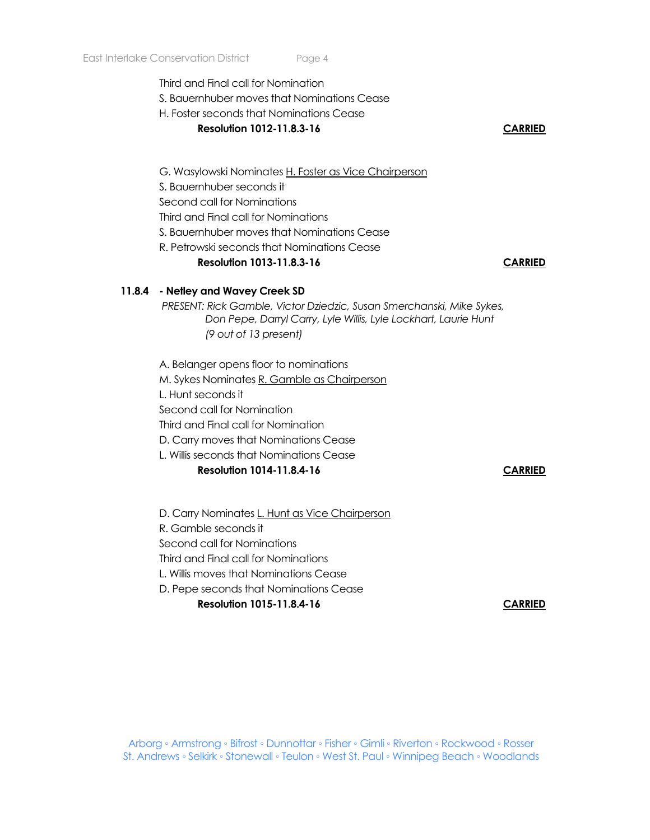Third and Final call for Nomination

- S. Bauernhuber moves that Nominations Cease
- H. Foster seconds that Nominations Cease
	- **Resolution 1012-11.8.3-16 CARRIED**

- G. Wasylowski Nominates H. Foster as Vice Chairperson
- S. Bauernhuber seconds it
- Second call for Nominations
- Third and Final call for Nominations
- S. Bauernhuber moves that Nominations Cease
- R. Petrowski seconds that Nominations Cease

# **Resolution 1013-11.8.3-16 CARRIED**

# **11.8.4 - Netley and Wavey Creek SD**

*PRESENT: Rick Gamble, Victor Dziedzic, Susan Smerchanski, Mike Sykes, Don Pepe, Darryl Carry, Lyle Willis, Lyle Lockhart, Laurie Hunt (9 out of 13 present)*

A. Belanger opens floor to nominations

M. Sykes Nominates R. Gamble as Chairperson

L. Hunt seconds it

Second call for Nomination

Third and Final call for Nomination

D. Carry moves that Nominations Cease

L. Willis seconds that Nominations Cease

# **Resolution 1014-11.8.4-16 CARRIED**

D. Carry Nominates L. Hunt as Vice Chairperson R. Gamble seconds it Second call for Nominations Third and Final call for Nominations L. Willis moves that Nominations Cease D. Pepe seconds that Nominations Cease

**Resolution 1015-11.8.4-16 CARRIED**